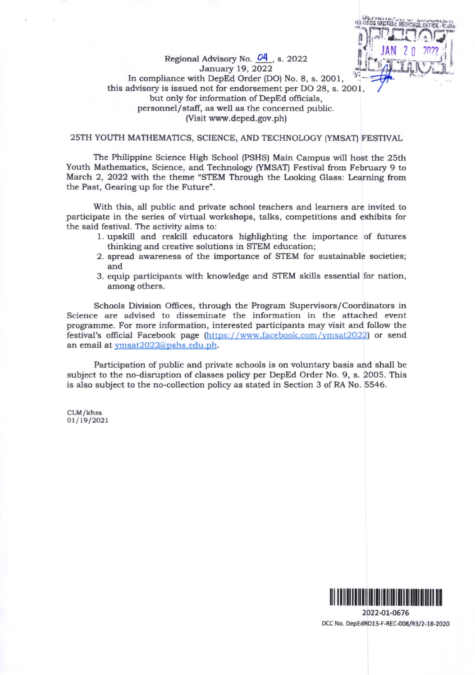#### Regional Advisory No.  $O_1$ , s. 2022 January 19, 2022 In compliance with DepEd Order (DO) No. 8, s. 2001, this advisory is issued not for endorsement per DO 28, s. 2OO I but only for information of DepEd officials, personnel/staff, as well as the concerned public. (Visit www.deped.gov.ph)

#### 25TH YOUTH MATHEMATICS, SCIENCE, AND TECHNOLOGY [y[,{SAT) FESTIVAL

The Philippine Science High School (PSHS) Main Campus will host the 25th Youth Mathematics, Science, and Technology (YMSAT) Festival from February 9 to March 2, 2022 with the theme "STEM Through the Looking Glass: Learning from the Past, Gearing up for the Future".

With this, all public and private school teachers and learners are invited to participate in the series of virtual workshops, talks, competitions and exhibits for the said festival. The activity aims to:

- 1. upskill and reskill educators highlighting the importance of futures thinking and creative solutions in STEM education;
- 2. spread awareness of the importance of STEM for sustainable societies; and
- 3. equip participants with knowledge and STEM skills essential for nation, among others.

Schools Division Oflices, through the Program Supervisors/Coordinators in Science are advised to disseminate the information in the attached event programme. For more information, interested participants may visit and follow the festival's ofiicial Facebook page (https:/ /www.facebook.com /ymsat2o22) or send an email at ymsat2022@pshs.edu.ph.

Participation of public and private schools is on voluntary basis and shall be subject to the no-disruption of classes policy per DepEd Order No. 9, s. 2005. This is also subject to the no-collection policy as stated in Section 3 of RA No. 5546.

CLM/khzs  $01 / 19 / 2021$ 



JAN 20 2022

**IEL ORDS SECTION, REGIONAL** 

2022-OL-O676 DCC No. DepEdRO13-F-REC-008/R3/2-18-2020